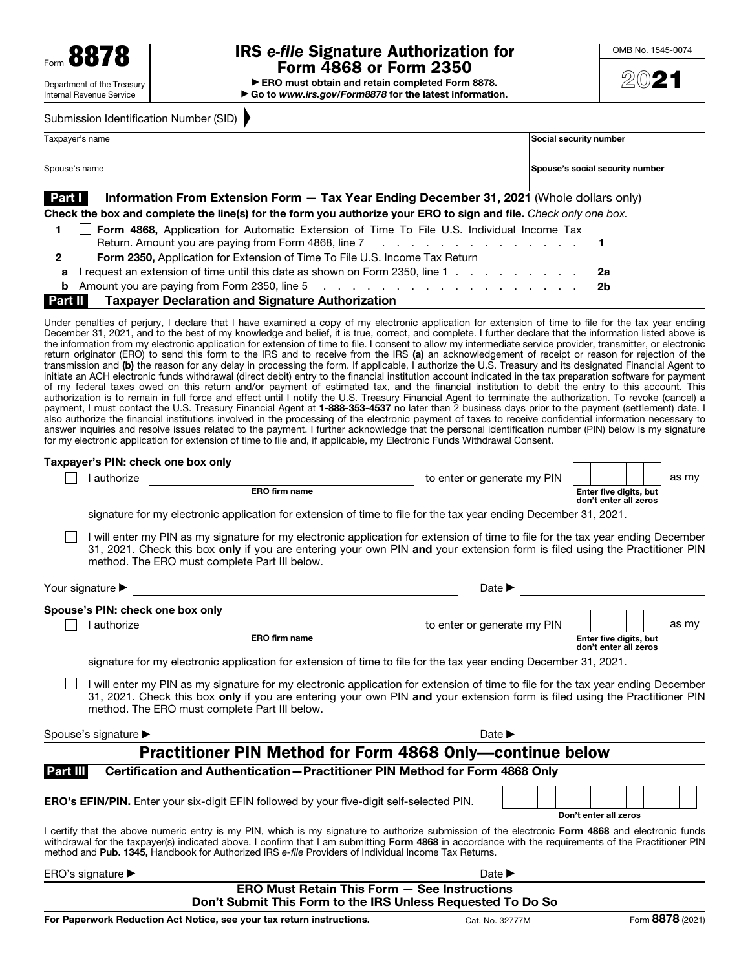# IRS *e-file* Signature Authorization for Form 4868 or Form 2350

▶ ERO must obtain and retain completed Form 8878. ▶ Go to *www.irs.gov/Form8878* for the latest information.



|                 | Submission Identification Number (SID)                                                                                                                                                                                                                                                                                                                                                                                                                                                                                                                                                                                                                                                                                                                                                                                                                                                                                                                                                                                                                                                                                                                                                                                                                                                                                                                                                                                                                                                                                                                                                                                                                                                                                                                                 |                             |                                                 |
|-----------------|------------------------------------------------------------------------------------------------------------------------------------------------------------------------------------------------------------------------------------------------------------------------------------------------------------------------------------------------------------------------------------------------------------------------------------------------------------------------------------------------------------------------------------------------------------------------------------------------------------------------------------------------------------------------------------------------------------------------------------------------------------------------------------------------------------------------------------------------------------------------------------------------------------------------------------------------------------------------------------------------------------------------------------------------------------------------------------------------------------------------------------------------------------------------------------------------------------------------------------------------------------------------------------------------------------------------------------------------------------------------------------------------------------------------------------------------------------------------------------------------------------------------------------------------------------------------------------------------------------------------------------------------------------------------------------------------------------------------------------------------------------------------|-----------------------------|-------------------------------------------------|
| Taxpayer's name |                                                                                                                                                                                                                                                                                                                                                                                                                                                                                                                                                                                                                                                                                                                                                                                                                                                                                                                                                                                                                                                                                                                                                                                                                                                                                                                                                                                                                                                                                                                                                                                                                                                                                                                                                                        |                             | Social security number                          |
| Spouse's name   |                                                                                                                                                                                                                                                                                                                                                                                                                                                                                                                                                                                                                                                                                                                                                                                                                                                                                                                                                                                                                                                                                                                                                                                                                                                                                                                                                                                                                                                                                                                                                                                                                                                                                                                                                                        |                             | Spouse's social security number                 |
| Part I          | Information From Extension Form - Tax Year Ending December 31, 2021 (Whole dollars only)                                                                                                                                                                                                                                                                                                                                                                                                                                                                                                                                                                                                                                                                                                                                                                                                                                                                                                                                                                                                                                                                                                                                                                                                                                                                                                                                                                                                                                                                                                                                                                                                                                                                               |                             |                                                 |
|                 | Check the box and complete the line(s) for the form you authorize your ERO to sign and file. Check only one box.                                                                                                                                                                                                                                                                                                                                                                                                                                                                                                                                                                                                                                                                                                                                                                                                                                                                                                                                                                                                                                                                                                                                                                                                                                                                                                                                                                                                                                                                                                                                                                                                                                                       |                             |                                                 |
| 1               | Form 4868, Application for Automatic Extension of Time To File U.S. Individual Income Tax<br>Return. Amount you are paying from Form 4868, line 7<br>and the contract of the contract of the con-<br>1                                                                                                                                                                                                                                                                                                                                                                                                                                                                                                                                                                                                                                                                                                                                                                                                                                                                                                                                                                                                                                                                                                                                                                                                                                                                                                                                                                                                                                                                                                                                                                 |                             |                                                 |
| $\mathbf{2}$    | Form 2350, Application for Extension of Time To File U.S. Income Tax Return                                                                                                                                                                                                                                                                                                                                                                                                                                                                                                                                                                                                                                                                                                                                                                                                                                                                                                                                                                                                                                                                                                                                                                                                                                                                                                                                                                                                                                                                                                                                                                                                                                                                                            |                             |                                                 |
| a               | I request an extension of time until this date as shown on Form 2350, line 1                                                                                                                                                                                                                                                                                                                                                                                                                                                                                                                                                                                                                                                                                                                                                                                                                                                                                                                                                                                                                                                                                                                                                                                                                                                                                                                                                                                                                                                                                                                                                                                                                                                                                           |                             | 2a                                              |
| b               |                                                                                                                                                                                                                                                                                                                                                                                                                                                                                                                                                                                                                                                                                                                                                                                                                                                                                                                                                                                                                                                                                                                                                                                                                                                                                                                                                                                                                                                                                                                                                                                                                                                                                                                                                                        |                             | 2b                                              |
| Part II         | <b>Taxpayer Declaration and Signature Authorization</b>                                                                                                                                                                                                                                                                                                                                                                                                                                                                                                                                                                                                                                                                                                                                                                                                                                                                                                                                                                                                                                                                                                                                                                                                                                                                                                                                                                                                                                                                                                                                                                                                                                                                                                                |                             |                                                 |
|                 | December 31, 2021, and to the best of my knowledge and belief, it is true, correct, and complete. I further declare that the information listed above is<br>the information from my electronic application for extension of time to file. I consent to allow my intermediate service provider, transmitter, or electronic<br>return originator (ERO) to send this form to the IRS and to receive from the IRS (a) an acknowledgement of receipt or reason for rejection of the<br>transmission and (b) the reason for any delay in processing the form. If applicable, I authorize the U.S. Treasury and its designated Financial Agent to<br>initiate an ACH electronic funds withdrawal (direct debit) entry to the financial institution account indicated in the tax preparation software for payment<br>of my federal taxes owed on this return and/or payment of estimated tax, and the financial institution to debit the entry to this account. This<br>authorization is to remain in full force and effect until I notify the U.S. Treasury Financial Agent to terminate the authorization. To revoke (cancel) a<br>payment, I must contact the U.S. Treasury Financial Agent at 1-888-353-4537 no later than 2 business days prior to the payment (settlement) date. I<br>also authorize the financial institutions involved in the processing of the electronic payment of taxes to receive confidential information necessary to<br>answer inquiries and resolve issues related to the payment. I further acknowledge that the personal identification number (PIN) below is my signature<br>for my electronic application for extension of time to file and, if applicable, my Electronic Funds Withdrawal Consent.<br>Taxpayer's PIN: check one box only |                             |                                                 |
|                 | I authorize                                                                                                                                                                                                                                                                                                                                                                                                                                                                                                                                                                                                                                                                                                                                                                                                                                                                                                                                                                                                                                                                                                                                                                                                                                                                                                                                                                                                                                                                                                                                                                                                                                                                                                                                                            | to enter or generate my PIN | as my                                           |
|                 | ERO firm name                                                                                                                                                                                                                                                                                                                                                                                                                                                                                                                                                                                                                                                                                                                                                                                                                                                                                                                                                                                                                                                                                                                                                                                                                                                                                                                                                                                                                                                                                                                                                                                                                                                                                                                                                          |                             | Enter five digits, but<br>don't enter all zeros |
|                 | signature for my electronic application for extension of time to file for the tax year ending December 31, 2021.                                                                                                                                                                                                                                                                                                                                                                                                                                                                                                                                                                                                                                                                                                                                                                                                                                                                                                                                                                                                                                                                                                                                                                                                                                                                                                                                                                                                                                                                                                                                                                                                                                                       |                             |                                                 |
|                 | I will enter my PIN as my signature for my electronic application for extension of time to file for the tax year ending December<br>31, 2021. Check this box only if you are entering your own PIN and your extension form is filed using the Practitioner PIN<br>method. The ERO must complete Part III below.                                                                                                                                                                                                                                                                                                                                                                                                                                                                                                                                                                                                                                                                                                                                                                                                                                                                                                                                                                                                                                                                                                                                                                                                                                                                                                                                                                                                                                                        |                             |                                                 |
|                 | Your signature ><br>the contract of the contract of the contract of the contract of the contract of                                                                                                                                                                                                                                                                                                                                                                                                                                                                                                                                                                                                                                                                                                                                                                                                                                                                                                                                                                                                                                                                                                                                                                                                                                                                                                                                                                                                                                                                                                                                                                                                                                                                    | Date $\blacktriangleright$  |                                                 |
|                 | Spouse's PIN: check one box only                                                                                                                                                                                                                                                                                                                                                                                                                                                                                                                                                                                                                                                                                                                                                                                                                                                                                                                                                                                                                                                                                                                                                                                                                                                                                                                                                                                                                                                                                                                                                                                                                                                                                                                                       |                             |                                                 |
|                 | I authorize                                                                                                                                                                                                                                                                                                                                                                                                                                                                                                                                                                                                                                                                                                                                                                                                                                                                                                                                                                                                                                                                                                                                                                                                                                                                                                                                                                                                                                                                                                                                                                                                                                                                                                                                                            | to enter or generate my PIN | as my                                           |
|                 | ERO firm name                                                                                                                                                                                                                                                                                                                                                                                                                                                                                                                                                                                                                                                                                                                                                                                                                                                                                                                                                                                                                                                                                                                                                                                                                                                                                                                                                                                                                                                                                                                                                                                                                                                                                                                                                          |                             | Enter five digits, but<br>don't enter all zeros |
|                 | signature for my electronic application for extension of time to file for the tax year ending December 31, 2021.                                                                                                                                                                                                                                                                                                                                                                                                                                                                                                                                                                                                                                                                                                                                                                                                                                                                                                                                                                                                                                                                                                                                                                                                                                                                                                                                                                                                                                                                                                                                                                                                                                                       |                             |                                                 |
|                 | I will enter my PIN as my signature for my electronic application for extension of time to file for the tax year ending December<br>31, 2021. Check this box only if you are entering your own PIN and your extension form is filed using the Practitioner PIN<br>method. The ERO must complete Part III below.                                                                                                                                                                                                                                                                                                                                                                                                                                                                                                                                                                                                                                                                                                                                                                                                                                                                                                                                                                                                                                                                                                                                                                                                                                                                                                                                                                                                                                                        |                             |                                                 |

| Spouse's signature ▶ | Date $\blacktriangleright$                                       |
|----------------------|------------------------------------------------------------------|
|                      | <b>Practitioner PIN Method for Form 4868 Only—continue below</b> |

#### Part III Certification and Authentication-Practitioner PIN Method for Form 4868 Only

ERO's EFIN/PIN. Enter your six-digit EFIN followed by your five-digit self-selected PIN.

Don't enter all zeros

I certify that the above numeric entry is my PIN, which is my signature to authorize submission of the electronic Form 4868 and electronic funds withdrawal for the taxpayer(s) indicated above. I confirm that I am submitting Form 4868 in accordance with the requirements of the Practitioner PIN method and Pub. 1345, Handbook for Authorized IRS *e-file* Providers of Individual Income Tax Returns.

ERO's signature ▶ Date ▶

ERO Must Retain This Form — See Instructions Don't Submit This Form to the IRS Unless Requested To Do So